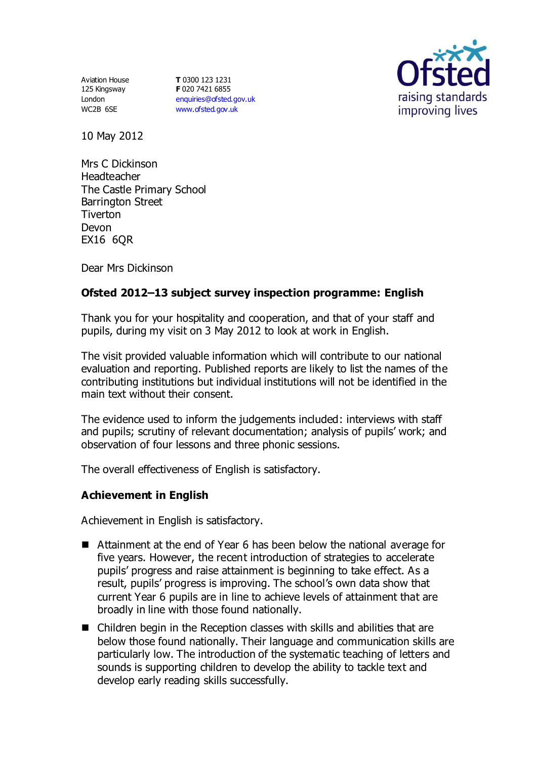Aviation House 125 Kingsway London WC2B 6SE

**T** 0300 123 1231 **F** 020 7421 6855 [enquiries@ofsted.gov.uk](mailto:enquiries@ofsted.gov.uk) [www.ofsted.gov.uk](http://www.ofsted.gov.uk/)



10 May 2012

Mrs C Dickinson Headteacher The Castle Primary School Barrington Street **Tiverton** Devon EX16 6QR

Dear Mrs Dickinson

# **Ofsted 2012–13 subject survey inspection programme: English**

Thank you for your hospitality and cooperation, and that of your staff and pupils, during my visit on 3 May 2012 to look at work in English.

The visit provided valuable information which will contribute to our national evaluation and reporting. Published reports are likely to list the names of the contributing institutions but individual institutions will not be identified in the main text without their consent.

The evidence used to inform the judgements included: interviews with staff and pupils; scrutiny of relevant documentation; analysis of pupils' work; and observation of four lessons and three phonic sessions.

The overall effectiveness of English is satisfactory.

### **Achievement in English**

Achievement in English is satisfactory.

- Attainment at the end of Year 6 has been below the national average for five years. However, the recent introduction of strategies to accelerate pupils' progress and raise attainment is beginning to take effect. As a result, pupils' progress is improving. The school's own data show that current Year 6 pupils are in line to achieve levels of attainment that are broadly in line with those found nationally.
- Children begin in the Reception classes with skills and abilities that are below those found nationally. Their language and communication skills are particularly low. The introduction of the systematic teaching of letters and sounds is supporting children to develop the ability to tackle text and develop early reading skills successfully.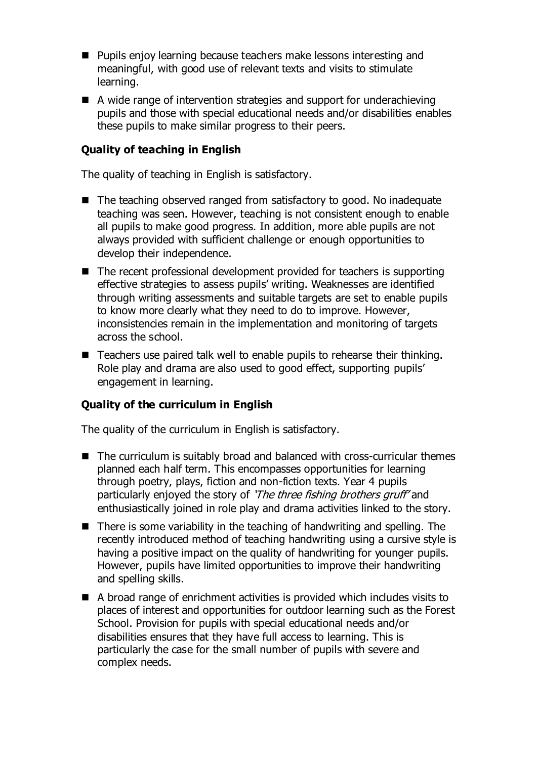- Pupils enjoy learning because teachers make lessons interesting and meaningful, with good use of relevant texts and visits to stimulate learning.
- A wide range of intervention strategies and support for underachieving pupils and those with special educational needs and/or disabilities enables these pupils to make similar progress to their peers.

### **Quality of teaching in English**

The quality of teaching in English is satisfactory.

- The teaching observed ranged from satisfactory to good. No inadequate teaching was seen. However, teaching is not consistent enough to enable all pupils to make good progress. In addition, more able pupils are not always provided with sufficient challenge or enough opportunities to develop their independence.
- The recent professional development provided for teachers is supporting effective strategies to assess pupils' writing. Weaknesses are identified through writing assessments and suitable targets are set to enable pupils to know more clearly what they need to do to improve. However, inconsistencies remain in the implementation and monitoring of targets across the school.
- Teachers use paired talk well to enable pupils to rehearse their thinking. Role play and drama are also used to good effect, supporting pupils' engagement in learning.

### **Quality of the curriculum in English**

The quality of the curriculum in English is satisfactory.

- The curriculum is suitably broad and balanced with cross-curricular themes planned each half term. This encompasses opportunities for learning through poetry, plays, fiction and non-fiction texts. Year 4 pupils particularly enjoyed the story of 'The three fishing brothers gruff' and enthusiastically joined in role play and drama activities linked to the story.
- There is some variability in the teaching of handwriting and spelling. The recently introduced method of teaching handwriting using a cursive style is having a positive impact on the quality of handwriting for younger pupils. However, pupils have limited opportunities to improve their handwriting and spelling skills.
- A broad range of enrichment activities is provided which includes visits to places of interest and opportunities for outdoor learning such as the Forest School. Provision for pupils with special educational needs and/or disabilities ensures that they have full access to learning. This is particularly the case for the small number of pupils with severe and complex needs.